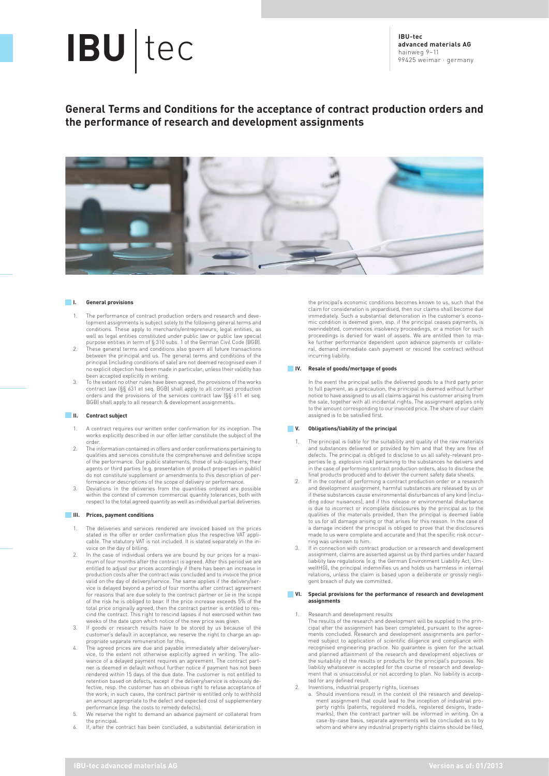# **IBU** tec **IBU-tec IBU-tec IBU-tec**

**advanced materials AG** hainweg 9–11 99425 weimar · germany

## **General Terms and Conditions for the acceptance of contract production orders and the performance of research and development assignments**



## **I. General provisions**

- The performance of contract production orders and research and development assignments is subject solely to the following general terms and conditions. These apply to merchants/entrepreneurs, legal entities, as well as legal entities constituted under public law or public law special
- purpose entities in term of § 310 subs. 1 of the German Civil Code (BGB). 2. These general terms and conditions also govern all future transactions between the principal and us. The general terms and conditions of the principal (including conditions of sale) are not deemed recognised even if no explicit objection has been made in particular, unless their validity has been accepted explicitly in writing.
- 3. To the extent no other rules have been agreed, the provisions of the works contract law (§§ 631 et seq. BGB) shall apply to all contract production orders and the provisions of the services contract law (§§ 611 et seq. BGB) shall apply to all research & development assignments.

## **II. Contract subject**

- 1. A contract requires our written order confirmation for its inception. The works explicitly described in our offer letter constitute the subject of the order.
- 2. The information contained in offers and order confirmations pertaining to qualities and services constitute the comprehensive and definitive scope of the performance. Our public statements, those of sub-suppliers, their agents or third parties (e.g. presentation of product properties in public) do not constitute supplement or amendments to this description of performance or descriptions of the scope of delivery or performance.
- 3. Deviations in the deliveries from the quantities ordered are possible within the context of common commercial quantity tolerances, both with respect to the total agreed quantity as well as individual partial deliveries.

## **III. Prices, payment conditions**

- 1. The deliveries and services rendered are invoiced based on the prices stated in the offer or order confirmation plus the respective VAT applicable. The statutory VAT is not included. It is stated separately in the invoice on the day of billing.
- 2. In the case of individual orders we are bound by our prices for a maxi-mum of four months after the contract is agreed. After this period we are entitled to adjust our prices accordingly if there has been an increase in production costs after the contract was concluded and to invoice the price valid on the day of delivery/service. The same applies if the delivery/service is delayed beyond a period of four months after contract agreement for reasons that are due solely to the contract partner or lie in the scope of the risk he is obliged to bear. If the price increase exceeds 5% of the total price originally agreed, then the contract partner is entitled to rescind the contract. This right to rescind lapses if not exercised within two weeks of the date upon which notice of the new price was given.
- 3. If goods or research results have to be stored by us because of the customer's default in acceptance, we reserve the right to charge an appropriate separate remuneration for this.
- 4. The agreed prices are due and payable immediately after delivery/ser-vice, to the extent not otherwise explicitly agreed in writing. The allowance of a delayed payment requires an agreement. The contract part-ner is deemed in default without further notice if payment has not been rendered within 15 days of the due date. The customer is not entitled to retention based on defects, except if the delivery/service is obviously defective, resp. the customer has an obvious right to refuse acceptance of the work; in such cases, the contract partner is entitled only to withhold an amount appropriate to the defect and expected cost of supplementary
- performance (esp. the costs to remedy defects). 5. We reserve the right to demand an advance payment or collateral from the principal.
- 6. If, after the contract has been concluded, a substantial deterioration in

the principal's economic conditions becomes known to us, such that the claim for consideration is jeopardised, then our claims shall become due immediately. Such a substantial deterioration in the customer's economic condition is deemed given, esp. if the principal ceases payments, is overindebted, commences insolvency proceedings, or a motion for such proceedings is denied for want of assets. We are entitled then to make further performance dependent upon advance payments or collateral, demand immediate cash payment or rescind the contract without incurring liability.

## **IV. Resale of goods/mortgage of goods**

In the event the principal sells the delivered goods to a third party prior to full payment, as a precaution, the principal is deemed without further notice to have assigned to us all claims against his customer arising from the sale, together with all incidental rights. The assignment applies only to the amount corresponding to our invoiced price. The share of our claim assigned is to be satisfied first.

### **V. Obligations/liability of the principal**

- The principal is liable for the suitability and quality of the raw materials and substances delivered or provided by him and that they are free of defects. The principal is obliged to disclose to us all safety-relevant properties (e.g. explosion risk) pertaining to the substances he delivers and in the case of performing contract production orders, also to disclose the
- final products produced and to deliver the current safety data sheets. 2. If in the context of performing a contract production order or a research and development assignment, harmful substances are released by us or if these substances cause environmental disturbances of any kind (including odour nuisances), and if this release or environmental disturbance is due to incorrect or incomplete disclosures by the principal as to the qualities of the materials provided, then the principal is deemed liable to us for all damage arising or that arises for this reason. In the case of a damage incident the principal is obliged to prove that the disclosures made to us were complete and accurate and that the specific risk occur-ring was unknown to him.
- 3. If in connection with contract production or a research and development assignment, claims are asserted against us by third parties under hazard liability law regulations (e.g. the German Environment Liability Act, UmweltHG), the principal indemnifies us and holds us harmless in internal relations, unless the claim is based upon a deliberate or grossly negligent breach of duty we committed.

## **VI. Special provisions for the performance of research and development assignments**

1. Research and development results

The results of the research and development will be supplied to the principal after the assignment has been completed, pursuant to the agree-ments concluded. Research and development assignments are performed subject to application of scientific diligence and compliance with recognised engineering practice. No guarantee is given for the actual and planned attainment of the research and development objectives or the suitability of the results or products for the principal's purposes. No liability whatsoever is accepted for the course of research and development that is unsuccessful or not according to plan. No liability is accepted for any defined result.

- 
- 2. Inventions, industrial property rights, licenses a. Should inventions result in the context of the research and development assignment that could lead to the inception of industrial property rights (patents, registered models, registered designs, trade-marks), then the contract partner will be informed in writing. On a case-by-case basis, separate agreements will be concluded as to by whom and where any industrial property rights claims should be filed,